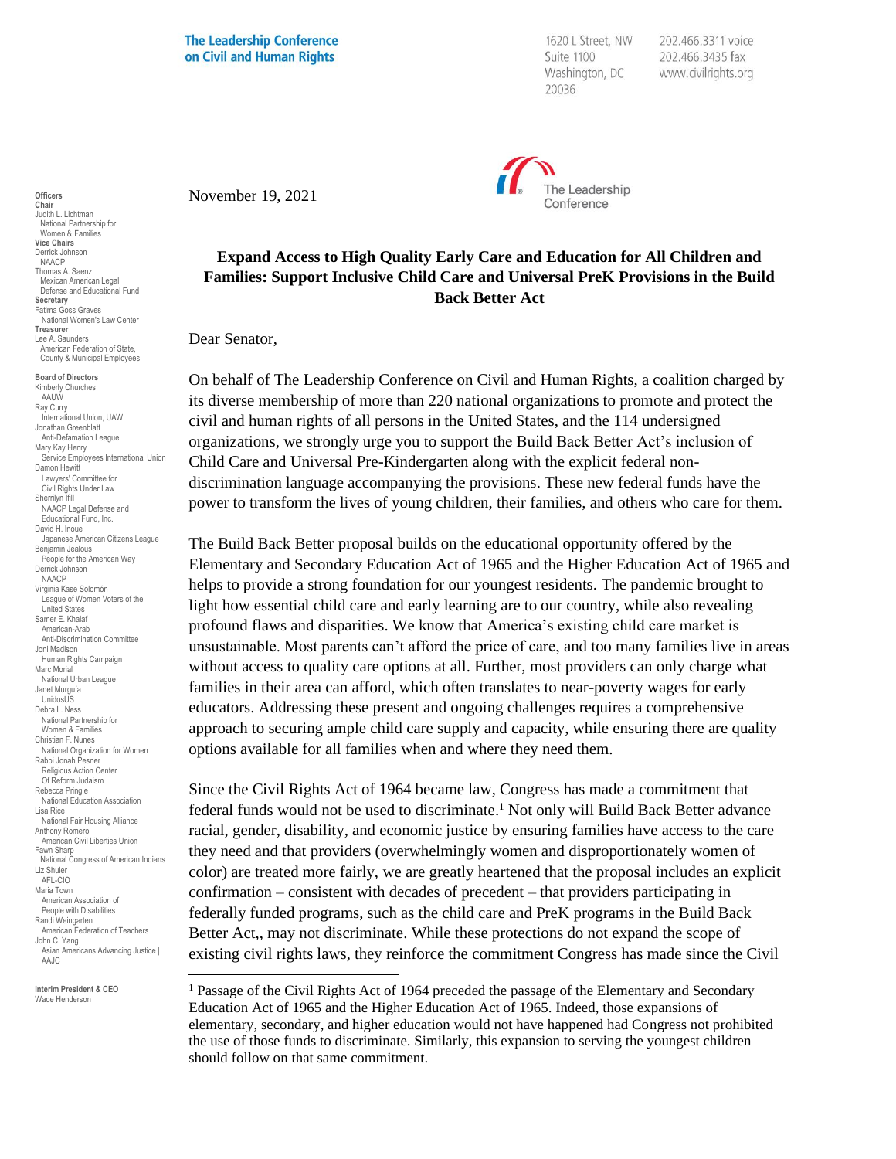**The Leadership Conference** on Civil and Human Rights

1620 L Street, NW Suite 1100 Washington, DC 20036

202.466.3311 voice 202.466.3435 fax www.civilrights.org



November 19, 2021

## **Expand Access to High Quality Early Care and Education for All Children and Families: Support Inclusive Child Care and Universal PreK Provisions in the Build Back Better Act**

Dear Senator,

On behalf of The Leadership Conference on Civil and Human Rights, a coalition charged by its diverse membership of more than 220 national organizations to promote and protect the civil and human rights of all persons in the United States, and the 114 undersigned organizations, we strongly urge you to support the Build Back Better Act's inclusion of Child Care and Universal Pre-Kindergarten along with the explicit federal nondiscrimination language accompanying the provisions. These new federal funds have the power to transform the lives of young children, their families, and others who care for them.

The Build Back Better proposal builds on the educational opportunity offered by the Elementary and Secondary Education Act of 1965 and the Higher Education Act of 1965 and helps to provide a strong foundation for our youngest residents. The pandemic brought to light how essential child care and early learning are to our country, while also revealing profound flaws and disparities. We know that America's existing child care market is unsustainable. Most parents can't afford the price of care, and too many families live in areas without access to quality care options at all. Further, most providers can only charge what families in their area can afford, which often translates to near-poverty wages for early educators. Addressing these present and ongoing challenges requires a comprehensive approach to securing ample child care supply and capacity, while ensuring there are quality options available for all families when and where they need them.

Since the Civil Rights Act of 1964 became law, Congress has made a commitment that federal funds would not be used to discriminate. <sup>1</sup> Not only will Build Back Better advance racial, gender, disability, and economic justice by ensuring families have access to the care they need and that providers (overwhelmingly women and disproportionately women of color) are treated more fairly, we are greatly heartened that the proposal includes an explicit confirmation – consistent with decades of precedent – that providers participating in federally funded programs, such as the child care and PreK programs in the Build Back Better Act,, may not discriminate. While these protections do not expand the scope of existing civil rights laws, they reinforce the commitment Congress has made since the Civil

**Chair** Judith L. Lichtman National Partnership for Women & Families **Vice Chairs** Derrick Johnson NAACP Thomas A. Saenz Mexican American Legal Defense and Educational Fund **Secretary** Fatima Goss Graves National Women's Law Center **Treasurer** Lee A. Saunders American Federation of State,

County & Municipal Employees

**Officers**

**Board of Directors** Kimberly Churches AAUW Ray Curry International Union, UAW Jonathan Greenblatt Anti-Defamation League Mary Kay Henry Service Employees International Union Damon Hewitt Lawyers' Committee for Civil Rights Under Law Sherrilyn Ifill NAACP Legal Defense and Educational Fund, Inc. David H. Inoue Japanese American Citizens League Benjamin Jealous People for the American Way Derrick Johnson NAACP Virginia Kase Solomón League of Women Voters of the United States Samer E. Khalaf American-Arab Anti-Discrimination Committee Joni Madison Human Rights Campaign Marc Morial National Urban League Janet Murguía UnidosUS Debra L. Ness National Partnership for Women & Families Christian F. Nunes National Organization for Women Rabbi Jonah Pesner Religious Action Center Of Reform Judaism Rebecca Pringle National Education Association Lisa Rice National Fair Housing Alliance Anthony Romero American Civil Liberties Union Fawn Sharp National Congress of American Indians Liz Shuler AFL-CIO Maria Town American Association of People with Disabilities Randi Weingarten American Federation of Teachers John C. Yang Asian Americans Advancing Justice | AAJC

**Interim President & CEO** Wade Henderson

<sup>1</sup> Passage of the Civil Rights Act of 1964 preceded the passage of the Elementary and Secondary Education Act of 1965 and the Higher Education Act of 1965. Indeed, those expansions of elementary, secondary, and higher education would not have happened had Congress not prohibited the use of those funds to discriminate. Similarly, this expansion to serving the youngest children should follow on that same commitment.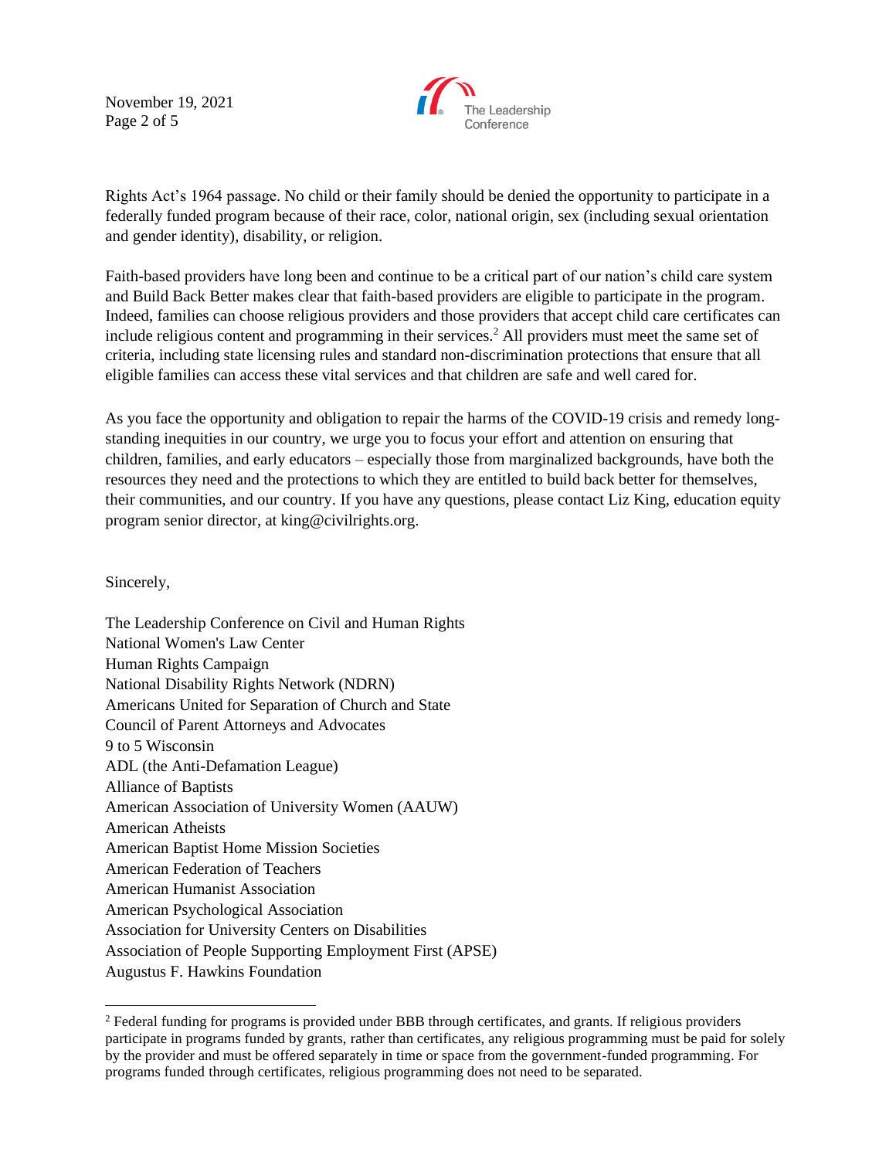November 19, 2021 Page 2 of 5



Rights Act's 1964 passage. No child or their family should be denied the opportunity to participate in a federally funded program because of their race, color, national origin, sex (including sexual orientation and gender identity), disability, or religion.

Faith-based providers have long been and continue to be a critical part of our nation's child care system and Build Back Better makes clear that faith-based providers are eligible to participate in the program. Indeed, families can choose religious providers and those providers that accept child care certificates can include religious content and programming in their services.<sup>2</sup> All providers must meet the same set of criteria, including state licensing rules and standard non-discrimination protections that ensure that all eligible families can access these vital services and that children are safe and well cared for.

As you face the opportunity and obligation to repair the harms of the COVID-19 crisis and remedy longstanding inequities in our country, we urge you to focus your effort and attention on ensuring that children, families, and early educators – especially those from marginalized backgrounds, have both the resources they need and the protections to which they are entitled to build back better for themselves, their communities, and our country. If you have any questions, please contact Liz King, education equity program senior director, at king@civilrights.org.

Sincerely,

The Leadership Conference on Civil and Human Rights National Women's Law Center Human Rights Campaign National Disability Rights Network (NDRN) Americans United for Separation of Church and State Council of Parent Attorneys and Advocates 9 to 5 Wisconsin ADL (the Anti-Defamation League) Alliance of Baptists American Association of University Women (AAUW) American Atheists American Baptist Home Mission Societies American Federation of Teachers American Humanist Association American Psychological Association Association for University Centers on Disabilities Association of People Supporting Employment First (APSE) Augustus F. Hawkins Foundation

<sup>2</sup> Federal funding for programs is provided under BBB through certificates, and grants. If religious providers participate in programs funded by grants, rather than certificates, any religious programming must be paid for solely by the provider and must be offered separately in time or space from the government-funded programming. For programs funded through certificates, religious programming does not need to be separated.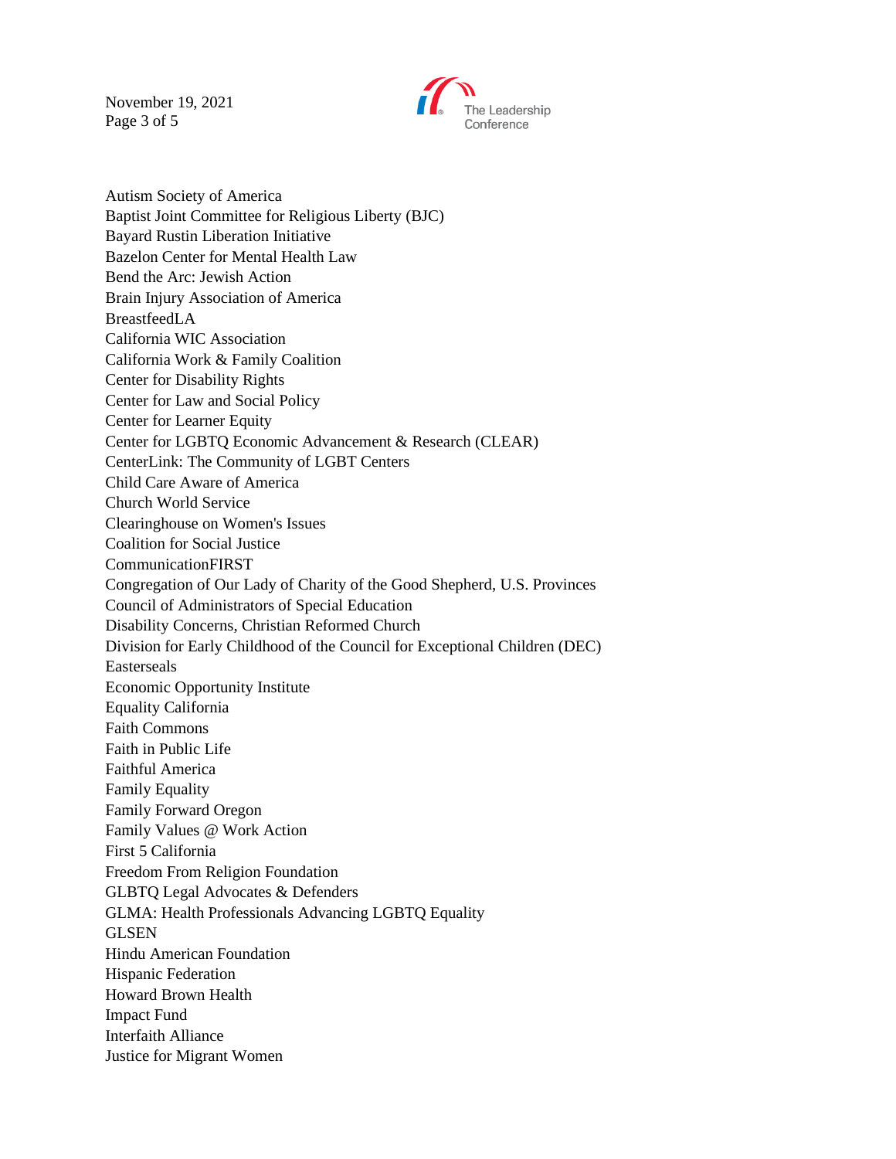November 19, 2021 Page 3 of 5



Autism Society of America Baptist Joint Committee for Religious Liberty (BJC) Bayard Rustin Liberation Initiative Bazelon Center for Mental Health Law Bend the Arc: Jewish Action Brain Injury Association of America BreastfeedLA California WIC Association California Work & Family Coalition Center for Disability Rights Center for Law and Social Policy Center for Learner Equity Center for LGBTQ Economic Advancement & Research (CLEAR) CenterLink: The Community of LGBT Centers Child Care Aware of America Church World Service Clearinghouse on Women's Issues Coalition for Social Justice CommunicationFIRST Congregation of Our Lady of Charity of the Good Shepherd, U.S. Provinces Council of Administrators of Special Education Disability Concerns, Christian Reformed Church Division for Early Childhood of the Council for Exceptional Children (DEC) Easterseals Economic Opportunity Institute Equality California Faith Commons Faith in Public Life Faithful America Family Equality Family Forward Oregon Family Values @ Work Action First 5 California Freedom From Religion Foundation GLBTQ Legal Advocates & Defenders GLMA: Health Professionals Advancing LGBTQ Equality **GLSEN** Hindu American Foundation Hispanic Federation Howard Brown Health Impact Fund Interfaith Alliance Justice for Migrant Women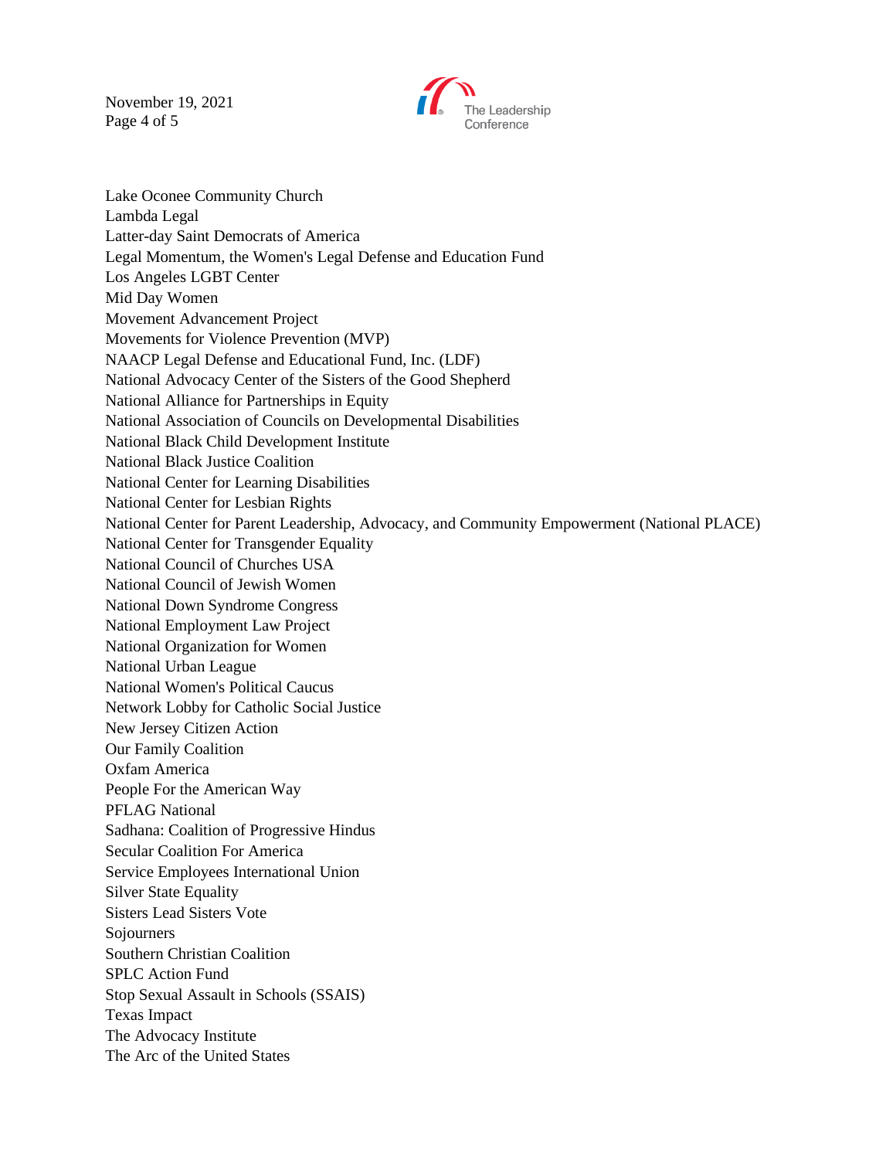November 19, 2021 Page 4 of 5



Lake Oconee Community Church Lambda Legal Latter-day Saint Democrats of America Legal Momentum, the Women's Legal Defense and Education Fund Los Angeles LGBT Center Mid Day Women Movement Advancement Project Movements for Violence Prevention (MVP) NAACP Legal Defense and Educational Fund, Inc. (LDF) National Advocacy Center of the Sisters of the Good Shepherd National Alliance for Partnerships in Equity National Association of Councils on Developmental Disabilities National Black Child Development Institute National Black Justice Coalition National Center for Learning Disabilities National Center for Lesbian Rights National Center for Parent Leadership, Advocacy, and Community Empowerment (National PLACE) National Center for Transgender Equality National Council of Churches USA National Council of Jewish Women National Down Syndrome Congress National Employment Law Project National Organization for Women National Urban League National Women's Political Caucus Network Lobby for Catholic Social Justice New Jersey Citizen Action Our Family Coalition Oxfam America People For the American Way PFLAG National Sadhana: Coalition of Progressive Hindus Secular Coalition For America Service Employees International Union Silver State Equality Sisters Lead Sisters Vote Sojourners Southern Christian Coalition SPLC Action Fund Stop Sexual Assault in Schools (SSAIS) Texas Impact The Advocacy Institute The Arc of the United States